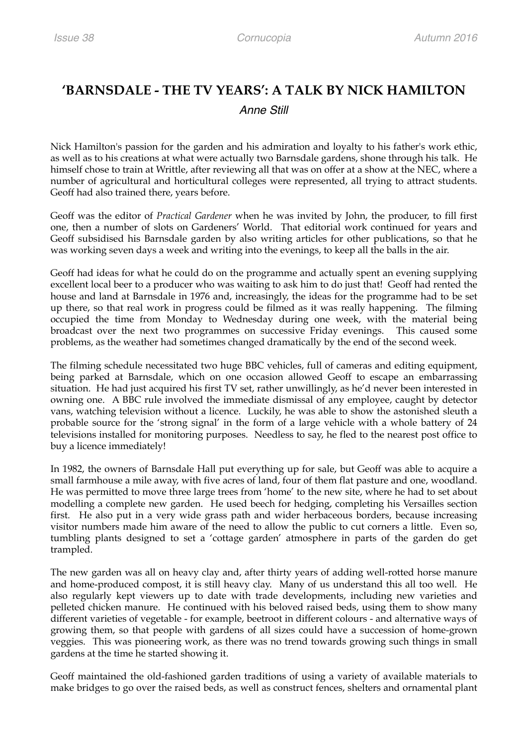## **'BARNSDALE - THE TV YEARS': A TALK BY NICK HAMILTON**  *Anne Still*

Nick Hamilton's passion for the garden and his admiration and loyalty to his father's work ethic, as well as to his creations at what were actually two Barnsdale gardens, shone through his talk. He himself chose to train at Writtle, after reviewing all that was on offer at a show at the NEC, where a number of agricultural and horticultural colleges were represented, all trying to attract students. Geoff had also trained there, years before.

Geoff was the editor of *Practical Gardener* when he was invited by John, the producer, to fill first one, then a number of slots on Gardeners' World. That editorial work continued for years and Geoff subsidised his Barnsdale garden by also writing articles for other publications, so that he was working seven days a week and writing into the evenings, to keep all the balls in the air.

Geoff had ideas for what he could do on the programme and actually spent an evening supplying excellent local beer to a producer who was waiting to ask him to do just that! Geoff had rented the house and land at Barnsdale in 1976 and, increasingly, the ideas for the programme had to be set up there, so that real work in progress could be filmed as it was really happening. The filming occupied the time from Monday to Wednesday during one week, with the material being broadcast over the next two programmes on successive Friday evenings. This caused some problems, as the weather had sometimes changed dramatically by the end of the second week.

The filming schedule necessitated two huge BBC vehicles, full of cameras and editing equipment, being parked at Barnsdale, which on one occasion allowed Geoff to escape an embarrassing situation. He had just acquired his first TV set, rather unwillingly, as he'd never been interested in owning one. A BBC rule involved the immediate dismissal of any employee, caught by detector vans, watching television without a licence. Luckily, he was able to show the astonished sleuth a probable source for the 'strong signal' in the form of a large vehicle with a whole battery of 24 televisions installed for monitoring purposes. Needless to say, he fled to the nearest post office to buy a licence immediately!

In 1982, the owners of Barnsdale Hall put everything up for sale, but Geoff was able to acquire a small farmhouse a mile away, with five acres of land, four of them flat pasture and one, woodland. He was permitted to move three large trees from 'home' to the new site, where he had to set about modelling a complete new garden. He used beech for hedging, completing his Versailles section first. He also put in a very wide grass path and wider herbaceous borders, because increasing visitor numbers made him aware of the need to allow the public to cut corners a little. Even so, tumbling plants designed to set a 'cottage garden' atmosphere in parts of the garden do get trampled.

The new garden was all on heavy clay and, after thirty years of adding well-rotted horse manure and home-produced compost, it is still heavy clay. Many of us understand this all too well. He also regularly kept viewers up to date with trade developments, including new varieties and pelleted chicken manure. He continued with his beloved raised beds, using them to show many different varieties of vegetable - for example, beetroot in different colours - and alternative ways of growing them, so that people with gardens of all sizes could have a succession of home-grown veggies. This was pioneering work, as there was no trend towards growing such things in small gardens at the time he started showing it.

Geoff maintained the old-fashioned garden traditions of using a variety of available materials to make bridges to go over the raised beds, as well as construct fences, shelters and ornamental plant